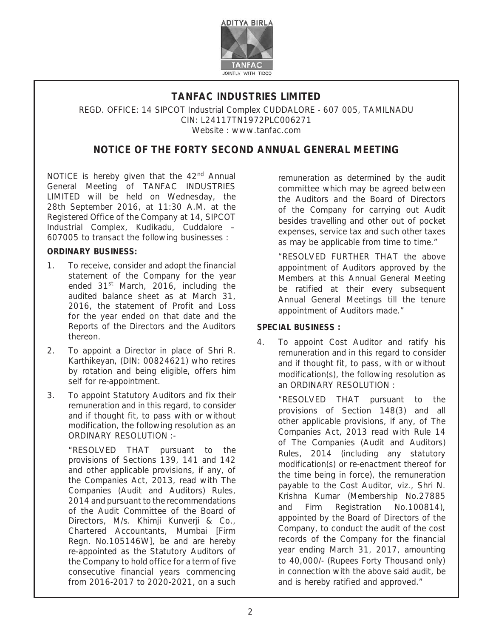

## **TANFAC INDUSTRIES LIMITED**

REGD. OFFICE: 14 SIPCOT Industrial Complex CUDDALORE - 607 005, TAMILNADU CIN: L24117TN1972PLC006271 Website : www.tanfac.com

# **NOTICE OF THE FORTY SECOND ANNUAL GENERAL MEETING**

NOTICE is hereby given that the 42<sup>nd</sup> Annual General Meeting of TANFAC INDUSTRIES LIMITED will be held on Wednesday, the 28th September 2016, at 11:30 A.M. at the Registered Office of the Company at 14, SIPCOT Industrial Complex, Kudikadu, Cuddalore – 607005 to transact the following businesses :

### **ORDINARY BUSINESS:**

- 1. To receive, consider and adopt the financial statement of the Company for the year ended 31<sup>st</sup> March, 2016, including the audited balance sheet as at March 31, 2016, the statement of Profit and Loss for the year ended on that date and the Reports of the Directors and the Auditors thereon.
- 2. To appoint a Director in place of Shri R. Karthikeyan, (DIN: 00824621) who retires by rotation and being eligible, offers him self for re-appointment.
- 3. To appoint Statutory Auditors and fix their remuneration and in this regard, to consider and if thought fit, to pass with or without modification, the following resolution as an ORDINARY RESOLUTION :-

 "RESOLVED THAT pursuant to the provisions of Sections 139, 141 and 142 and other applicable provisions, if any, of the Companies Act, 2013, read with The Companies (Audit and Auditors) Rules, 2014 and pursuant to the recommendations of the Audit Committee of the Board of Directors, M/s. Khimji Kunverji & Co., Chartered Accountants, Mumbai [Firm Regn. No.105146W], be and are hereby re-appointed as the Statutory Auditors of the Company to hold office for a term of five consecutive financial years commencing from 2016-2017 to 2020-2021, on a such

remuneration as determined by the audit committee which may be agreed between the Auditors and the Board of Directors of the Company for carrying out Audit besides travelling and other out of pocket expenses, service tax and such other taxes as may be applicable from time to time."

 "RESOLVED FURTHER THAT the above appointment of Auditors approved by the Members at this Annual General Meeting be ratified at their every subsequent Annual General Meetings till the tenure appointment of Auditors made."

## **SPECIAL BUSINESS :**

4. To appoint Cost Auditor and ratify his remuneration and in this regard to consider and if thought fit, to pass, with or without modification(s), the following resolution as an ORDINARY RESOLUTION :

> "RESOLVED THAT pursuant to the provisions of Section 148(3) and all other applicable provisions, if any, of The Companies Act, 2013 read with Rule 14 of The Companies (Audit and Auditors) Rules, 2014 (including any statutory modification(s) or re-enactment thereof for the time being in force), the remuneration payable to the Cost Auditor, viz., Shri N. Krishna Kumar (Membership No.27885 and Firm Registration No.100814), appointed by the Board of Directors of the Company, to conduct the audit of the cost records of the Company for the financial year ending March 31, 2017, amounting to 40,000/- (Rupees Forty Thousand only) in connection with the above said audit, be and is hereby ratified and approved."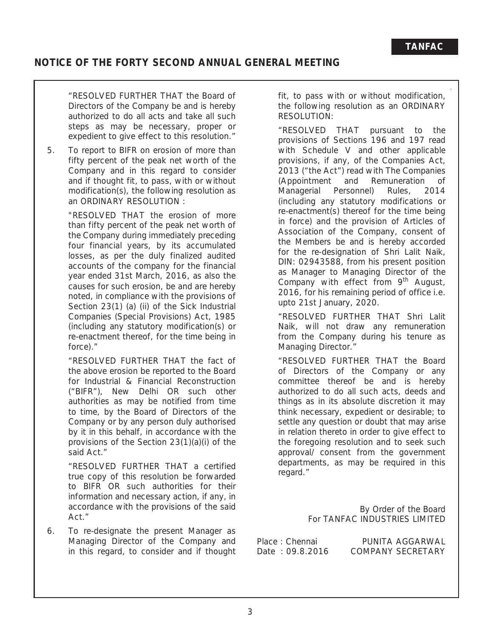## **NOTICE OF THE FORTY SECOND ANNUAL GENERAL MEETING**

 "RESOLVED FURTHER THAT the Board of Directors of the Company be and is hereby authorized to do all acts and take all such steps as may be necessary, proper or expedient to give effect to this resolution."

5. To report to BIFR on erosion of more than fifty percent of the peak net worth of the Company and in this regard to consider and if thought fit, to pass, with or without modification(s), the following resolution as an ORDINARY RESOLUTION :

> "RESOLVED THAT the erosion of more than fifty percent of the peak net worth of the Company during immediately preceding four financial years, by its accumulated losses, as per the duly finalized audited accounts of the company for the financial year ended 31st March, 2016, as also the causes for such erosion, be and are hereby noted, in compliance with the provisions of Section 23(1) (a) (ii) of the Sick Industrial Companies (Special Provisions) Act, 1985 (including any statutory modification(s) or re-enactment thereof, for the time being in force)."

> "RESOLVED FURTHER THAT the fact of the above erosion be reported to the Board for Industrial & Financial Reconstruction ("BIFR"), New Delhi OR such other authorities as may be notified from time to time, by the Board of Directors of the Company or by any person duly authorised by it in this behalf, in accordance with the provisions of the Section 23(1)(a)(i) of the said Act."

> "RESOLVED FURTHER THAT a certified true copy of this resolution be forwarded to BIFR OR such authorities for their information and necessary action, if any, in accordance with the provisions of the said Act."

6. To re-designate the present Manager as Managing Director of the Company and in this regard, to consider and if thought fit, to pass with or without modification, the following resolution as an ORDINARY RESOLUTION:

 "RESOLVED THAT pursuant to the provisions of Sections 196 and 197 read with Schedule V and other applicable provisions, if any, of the Companies Act, 2013 ("the Act") read with The Companies (Appointment and Remuneration of Managerial Personnel) Rules, 2014 (including any statutory modifications or re-enactment(s) thereof for the time being in force) and the provision of Articles of Association of the Company, consent of the Members be and is hereby accorded for the re-designation of Shri Lalit Naik, DIN: 02943588, from his present position as Manager to Managing Director of the Company with effect from  $9<sup>th</sup>$  August, 2016, for his remaining period of office i.e. upto 21st January, 2020.

 "RESOLVED FURTHER THAT Shri Lalit Naik, will not draw any remuneration from the Company during his tenure as Managing Director."

 "RESOLVED FURTHER THAT the Board of Directors of the Company or any committee thereof be and is hereby authorized to do all such acts, deeds and things as in its absolute discretion it may think necessary, expedient or desirable; to settle any question or doubt that may arise in relation thereto in order to give effect to the foregoing resolution and to seek such approval/ consent from the government departments, as may be required in this regard."

> By Order of the Board For TANFAC INDUSTRIES LIMITED

Place : Chennai PUNITA AGGARWAL Date: 09.8.2016 COMPANY SECRETARY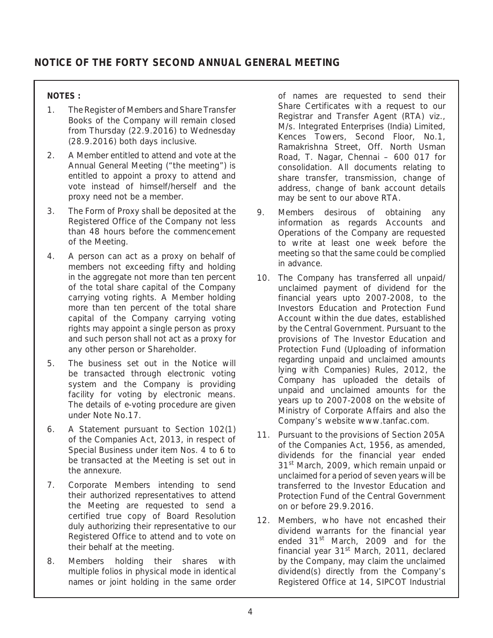## **NOTES :**

- 1. The Register of Members and Share Transfer Books of the Company will remain closed from Thursday (22.9.2016) to Wednesday (28.9.2016) both days inclusive.
- 2. A Member entitled to attend and vote at the Annual General Meeting ("the meeting") is entitled to appoint a proxy to attend and vote instead of himself/herself and the proxy need not be a member.
- 3. The Form of Proxy shall be deposited at the Registered Office of the Company not less than 48 hours before the commencement of the Meeting.
- 4. A person can act as a proxy on behalf of members not exceeding fifty and holding in the aggregate not more than ten percent of the total share capital of the Company carrying voting rights. A Member holding more than ten percent of the total share capital of the Company carrying voting rights may appoint a single person as proxy and such person shall not act as a proxy for any other person or Shareholder.
- 5. The business set out in the Notice will be transacted through electronic voting system and the Company is providing facility for voting by electronic means. The details of e-voting procedure are given under Note No.17.
- 6. A Statement pursuant to Section 102(1) of the Companies Act, 2013, in respect of Special Business under item Nos. 4 to 6 to be transacted at the Meeting is set out in the annexure.
- 7. Corporate Members intending to send their authorized representatives to attend the Meeting are requested to send a certified true copy of Board Resolution duly authorizing their representative to our Registered Office to attend and to vote on their behalf at the meeting.
- 8. Members holding their shares with multiple folios in physical mode in identical names or joint holding in the same order

of names are requested to send their Share Certificates with a request to our Registrar and Transfer Agent (RTA) viz., M/s. Integrated Enterprises (India) Limited, Kences Towers, Second Floor, No.1, Ramakrishna Street, Off. North Usman Road, T. Nagar, Chennai – 600 017 for consolidation. All documents relating to share transfer, transmission, change of address, change of bank account details may be sent to our above RTA.

- 9. Members desirous of obtaining any information as regards Accounts and Operations of the Company are requested to write at least one week before the meeting so that the same could be complied in advance.
- 10. The Company has transferred all unpaid/ unclaimed payment of dividend for the financial years upto 2007-2008, to the Investors Education and Protection Fund Account within the due dates, established by the Central Government. Pursuant to the provisions of The Investor Education and Protection Fund (Uploading of information regarding unpaid and unclaimed amounts lying with Companies) Rules, 2012, the Company has uploaded the details of unpaid and unclaimed amounts for the years up to 2007-2008 on the website of Ministry of Corporate Affairs and also the Company's website www.tanfac.com.
- 11. Pursuant to the provisions of Section 205A of the Companies Act, 1956, as amended, dividends for the financial year ended 31<sup>st</sup> March, 2009, which remain unpaid or unclaimed for a period of seven years will be transferred to the Investor Education and Protection Fund of the Central Government on or before 29.9.2016.
- 12. Members, who have not encashed their dividend warrants for the financial year ended 31<sup>st</sup> March, 2009 and for the financial year  $31<sup>st</sup>$  March, 2011, declared by the Company, may claim the unclaimed dividend(s) directly from the Company's Registered Office at 14, SIPCOT Industrial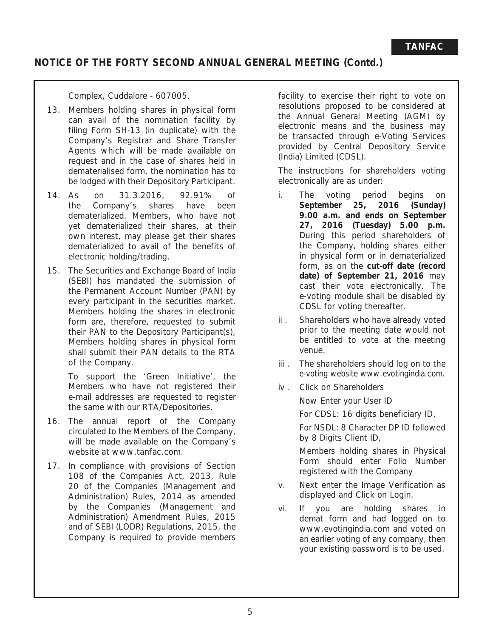# **NOTICE OF THE FORTY SECOND ANNUAL GENERAL MEETING (Contd.)**

Complex, Cuddalore - 607005.

- 13. Members holding shares in physical form can avail of the nomination facility by filing Form SH-13 (in duplicate) with the Company's Registrar and Share Transfer Agents which will be made available on request and in the case of shares held in dematerialised form, the nomination has to be lodged with their Depository Participant.
- 14. As on 31.3.2016, 92.91% of the Company's shares have been dematerialized. Members, who have not yet dematerialized their shares, at their own interest, may please get their shares dematerialized to avail of the benefits of electronic holding/trading.
- 15. The Securities and Exchange Board of India (SEBI) has mandated the submission of the Permanent Account Number (PAN) by every participant in the securities market. Members holding the shares in electronic form are, therefore, requested to submit their PAN to the Depository Participant(s), Members holding shares in physical form shall submit their PAN details to the RTA of the Company.

 To support the 'Green Initiative', the Members who have not registered their e-mail addresses are requested to register the same with our RTA/Depositories.

- 16. The annual report of the Company circulated to the Members of the Company, will be made available on the Company's website at www.tanfac.com.
- 17. In compliance with provisions of Section 108 of the Companies Act, 2013, Rule 20 of the Companies (Management and Administration) Rules, 2014 as amended by the Companies (Management and Administration) Amendment Rules, 2015 and of SEBI (LODR) Regulations, 2015, the Company is required to provide members

facility to exercise their right to vote on resolutions proposed to be considered at the Annual General Meeting (AGM) by electronic means and the business may be transacted through e-Voting Services provided by Central Depository Service (India) Limited (CDSL).

 The instructions for shareholders voting electronically are as under:

- i. The voting period begins on **September 25, 2016 (Sunday) 9.00 a.m. and ends on September 27, 2016 (Tuesday) 5.00 p.m.**  During this period shareholders of the Company, holding shares either in physical form or in dematerialized form, as on the **cut-off date (record date) of September 21, 2016** may cast their vote electronically. The e-voting module shall be disabled by CDSL for voting thereafter.
- ii . Shareholders who have already voted prior to the meeting date would not be entitled to vote at the meeting venue.
- iii . The shareholders should log on to the e-voting website www.evotingindia.com.
- iv . Click on Shareholders

Now Enter your User ID

For CDSL: 16 digits beneficiary ID,

 For NSDL: 8 Character DP ID followed by 8 Digits Client ID,

 Members holding shares in Physical Form should enter Folio Number registered with the Company

- v. Next enter the Image Verification as displayed and Click on Login.
- vi. If you are holding shares in demat form and had logged on to www.evotingindia.com and voted on an earlier voting of any company, then your existing password is to be used.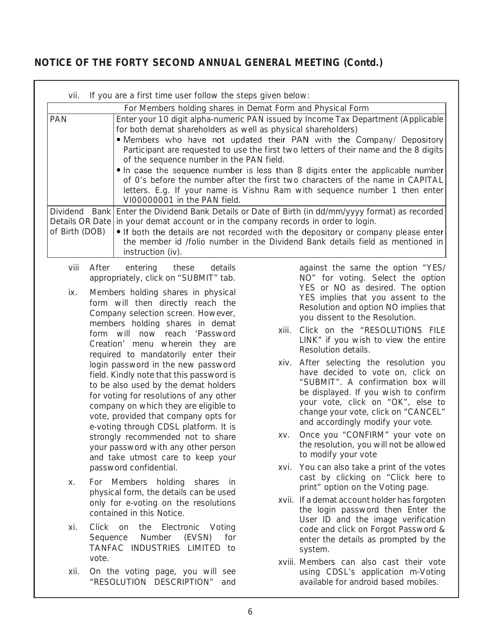# **NOTICE OF THE FORTY SECOND ANNUAL GENERAL MEETING (Contd.)**

| vii.                         |                   | If you are a first time user follow the steps given below:                                                                                                                                                                                                                                                                                                                                                                                                                                                                                                                                                                                                                                                                                                                                                                                                                                                                                                                                         |       |                                                                                                                                                                                                                                                                                                                                     |  |  |
|------------------------------|-------------------|----------------------------------------------------------------------------------------------------------------------------------------------------------------------------------------------------------------------------------------------------------------------------------------------------------------------------------------------------------------------------------------------------------------------------------------------------------------------------------------------------------------------------------------------------------------------------------------------------------------------------------------------------------------------------------------------------------------------------------------------------------------------------------------------------------------------------------------------------------------------------------------------------------------------------------------------------------------------------------------------------|-------|-------------------------------------------------------------------------------------------------------------------------------------------------------------------------------------------------------------------------------------------------------------------------------------------------------------------------------------|--|--|
|                              |                   |                                                                                                                                                                                                                                                                                                                                                                                                                                                                                                                                                                                                                                                                                                                                                                                                                                                                                                                                                                                                    |       |                                                                                                                                                                                                                                                                                                                                     |  |  |
| <b>PAN</b><br>of Birth (DOB) |                   | For Members holding shares in Demat Form and Physical Form<br>Enter your 10 digit alpha-numeric PAN issued by Income Tax Department (Applicable<br>for both demat shareholders as well as physical shareholders)<br>. Members who have not updated their PAN with the Company/ Depository<br>Participant are requested to use the first two letters of their name and the 8 digits<br>of the sequence number in the PAN field.<br>. In case the sequence number is less than 8 digits enter the applicable number<br>of O's before the number after the first two characters of the name in CAPITAL<br>letters. E.g. If your name is Vishnu Ram with sequence number 1 then enter<br>VI00000001 in the PAN field.<br>Dividend Bank Enter the Dividend Bank Details or Date of Birth (in dd/mm/yyyy format) as recorded<br>Details OR Date in your demat account or in the company records in order to login.<br>• If both the details are not recorded with the depository or company please enter |       |                                                                                                                                                                                                                                                                                                                                     |  |  |
|                              |                   | the member id /folio number in the Dividend Bank details field as mentioned in                                                                                                                                                                                                                                                                                                                                                                                                                                                                                                                                                                                                                                                                                                                                                                                                                                                                                                                     |       |                                                                                                                                                                                                                                                                                                                                     |  |  |
| viii                         | After             | instruction (iv).<br>entering<br>these<br>details<br>appropriately, click on "SUBMIT" tab.                                                                                                                                                                                                                                                                                                                                                                                                                                                                                                                                                                                                                                                                                                                                                                                                                                                                                                         |       | against the same the option "YES/<br>NO" for voting. Select the option<br>YES or NO as desired. The option                                                                                                                                                                                                                          |  |  |
| ix.                          |                   | Members holding shares in physical<br>form will then directly reach the<br>Company selection screen. However,<br>members holding shares in demat<br>form will now reach 'Password<br>Creation' menu wherein they are<br>required to mandatorily enter their<br>login password in the new password<br>field. Kindly note that this password is                                                                                                                                                                                                                                                                                                                                                                                                                                                                                                                                                                                                                                                      | xiii. | YES implies that you assent to the<br>Resolution and option NO implies that<br>you dissent to the Resolution.<br>Click on the "RESOLUTIONS FILE<br>LINK" if you wish to view the entire<br>Resolution details.<br>xiv. After selecting the resolution you<br>have decided to vote on, click on<br>"SUBMIT". A confirmation box will |  |  |
|                              |                   | to be also used by the demat holders<br>for voting for resolutions of any other<br>company on which they are eligible to<br>vote, provided that company opts for<br>e-voting through CDSL platform. It is<br>strongly recommended not to share<br>your password with any other person<br>and take utmost care to keep your                                                                                                                                                                                                                                                                                                                                                                                                                                                                                                                                                                                                                                                                         |       | be displayed. If you wish to confirm<br>your vote, click on "OK", else to<br>change your vote, click on "CANCEL"<br>and accordingly modify your vote.                                                                                                                                                                               |  |  |
|                              |                   |                                                                                                                                                                                                                                                                                                                                                                                                                                                                                                                                                                                                                                                                                                                                                                                                                                                                                                                                                                                                    | XV.   | Once you "CONFIRM" your vote on<br>the resolution, you will not be allowed<br>to modify your vote                                                                                                                                                                                                                                   |  |  |
| Х.                           |                   | password confidential.<br>For Members holding shares in                                                                                                                                                                                                                                                                                                                                                                                                                                                                                                                                                                                                                                                                                                                                                                                                                                                                                                                                            |       | xvi. You can also take a print of the votes<br>cast by clicking on "Click here to<br>print" option on the Voting page.                                                                                                                                                                                                              |  |  |
|                              |                   | physical form, the details can be used<br>only for e-voting on the resolutions<br>contained in this Notice.                                                                                                                                                                                                                                                                                                                                                                                                                                                                                                                                                                                                                                                                                                                                                                                                                                                                                        |       | xvii. If a demat account holder has forgoten<br>the login password then Enter the<br>User ID and the image verification                                                                                                                                                                                                             |  |  |
| xi.                          | Sequence<br>vote. | Click on the Electronic Voting<br>Number (EVSN)<br>for<br>TANFAC INDUSTRIES LIMITED to                                                                                                                                                                                                                                                                                                                                                                                                                                                                                                                                                                                                                                                                                                                                                                                                                                                                                                             |       | code and click on Forgot Password &<br>enter the details as prompted by the<br>system.                                                                                                                                                                                                                                              |  |  |
| xii.                         |                   | On the voting page, you will see<br>"RESOLUTION DESCRIPTION"<br>and                                                                                                                                                                                                                                                                                                                                                                                                                                                                                                                                                                                                                                                                                                                                                                                                                                                                                                                                |       | xviii. Members can also cast their vote<br>using CDSL's application m-Voting<br>available for android based mobiles.                                                                                                                                                                                                                |  |  |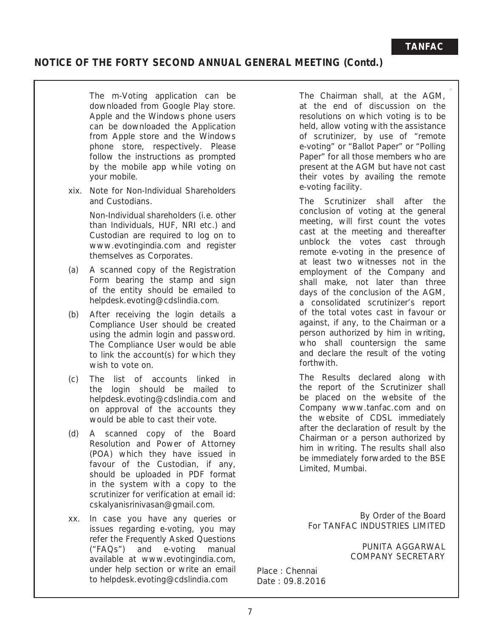# **NOTICE OF THE FORTY SECOND ANNUAL GENERAL MEETING (Contd.)**

 The m-Voting application can be downloaded from Google Play store. Apple and the Windows phone users can be downloaded the Application from Apple store and the Windows phone store, respectively. Please follow the instructions as prompted by the mobile app while voting on your mobile.

xix. Note for Non-Individual Shareholders and Custodians.

> Non-Individual shareholders (i.e. other than Individuals, HUF, NRI etc.) and Custodian are required to log on to www.evotingindia.com and register themselves as Corporates.

- (a) A scanned copy of the Registration Form bearing the stamp and sign of the entity should be emailed to helpdesk.evoting@cdslindia.com.
- (b) After receiving the login details a Compliance User should be created using the admin login and password. The Compliance User would be able to link the account(s) for which they wish to vote on.
- (c) The list of accounts linked in the login should be mailed to helpdesk.evoting@cdslindia.com and on approval of the accounts they would be able to cast their vote.
- (d) A scanned copy of the Board Resolution and Power of Attorney (POA) which they have issued in favour of the Custodian, if any, should be uploaded in PDF format in the system with a copy to the scrutinizer for verification at email id: cskalyanisrinivasan@gmail.com.
- xx. In case you have any queries or issues regarding e-voting, you may refer the Frequently Asked Questions ("FAQs") and e-voting manual available at www.evotingindia.com, under help section or write an email to helpdesk.evoting@cdslindia.com

 The Chairman shall, at the AGM, at the end of discussion on the resolutions on which voting is to be held, allow voting with the assistance of scrutinizer, by use of "remote e-voting" or "Ballot Paper" or "Polling Paper" for all those members who are present at the AGM but have not cast their votes by availing the remote e-voting facility.

 The Scrutinizer shall after the conclusion of voting at the general meeting, will first count the votes cast at the meeting and thereafter unblock the votes cast through remote e-voting in the presence of at least two witnesses not in the employment of the Company and shall make, not later than three days of the conclusion of the AGM, a consolidated scrutinizer's report of the total votes cast in favour or against, if any, to the Chairman or a person authorized by him in writing, who shall countersign the same and declare the result of the voting forthwith.

 The Results declared along with the report of the Scrutinizer shall be placed on the website of the Company www.tanfac.com and on the website of CDSL immediately after the declaration of result by the Chairman or a person authorized by him in writing. The results shall also be immediately forwarded to the BSE Limited, Mumbai.

By Order of the Board For TANFAC INDUSTRIES LIMITED

> PUNITA AGGARWAL COMPANY SECRETARY

Place : Chennai Date : 09.8.2016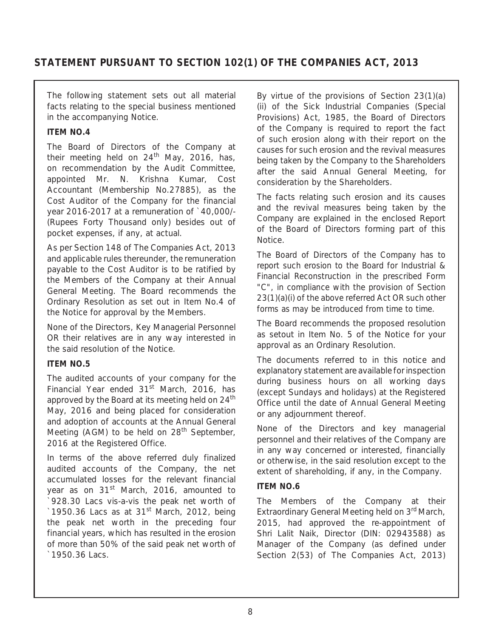# **STATEMENT PURSUANT TO SECTION 102(1) OF THE COMPANIES ACT, 2013**

The following statement sets out all material facts relating to the special business mentioned in the accompanying Notice.

### **ITEM NO.4**

The Board of Directors of the Company at their meeting held on  $24<sup>th</sup>$  May, 2016, has, on recommendation by the Audit Committee, appointed Mr. N. Krishna Kumar, Cost Accountant (Membership No.27885), as the Cost Auditor of the Company for the financial year 2016-2017 at a remuneration of `40,000/- (Rupees Forty Thousand only) besides out of pocket expenses, if any, at actual.

As per Section 148 of The Companies Act, 2013 and applicable rules thereunder, the remuneration payable to the Cost Auditor is to be ratified by the Members of the Company at their Annual General Meeting. The Board recommends the Ordinary Resolution as set out in Item No.4 of the Notice for approval by the Members.

None of the Directors, Key Managerial Personnel OR their relatives are in any way interested in the said resolution of the Notice.

### **ITEM NO.5**

The audited accounts of your company for the Financial Year ended  $31<sup>st</sup>$  March, 2016, has approved by the Board at its meeting held on 24<sup>th</sup> May, 2016 and being placed for consideration and adoption of accounts at the Annual General Meeting (AGM) to be held on 28<sup>th</sup> September, 2016 at the Registered Office.

In terms of the above referred duly finalized audited accounts of the Company, the net accumulated losses for the relevant financial year as on 31<sup>st</sup> March, 2016, amounted to `928.30 Lacs vis-a-vis the peak net worth of  $\degree$ 1950.36 Lacs as at 31st March, 2012, being the peak net worth in the preceding four financial years, which has resulted in the erosion of more than 50% of the said peak net worth of `1950.36 Lacs.

By virtue of the provisions of Section 23(1)(a) (ii) of the Sick Industrial Companies (Special Provisions) Act, 1985, the Board of Directors of the Company is required to report the fact of such erosion along with their report on the causes for such erosion and the revival measures being taken by the Company to the Shareholders after the said Annual General Meeting, for consideration by the Shareholders.

The facts relating such erosion and its causes and the revival measures being taken by the Company are explained in the enclosed Report of the Board of Directors forming part of this Notice.

The Board of Directors of the Company has to report such erosion to the Board for Industrial & Financial Reconstruction in the prescribed Form "C", in compliance with the provision of Section 23(1)(a)(i) of the above referred Act OR such other forms as may be introduced from time to time.

The Board recommends the proposed resolution as setout in Item No. 5 of the Notice for your approval as an Ordinary Resolution.

The documents referred to in this notice and explanatory statement are available for inspection during business hours on all working days (except Sundays and holidays) at the Registered Office until the date of Annual General Meeting or any adjournment thereof.

None of the Directors and key managerial personnel and their relatives of the Company are in any way concerned or interested, financially or otherwise, in the said resolution except to the extent of shareholding, if any, in the Company.

### **ITEM NO.6**

The Members of the Company at their Extraordinary General Meeting held on 3<sup>rd</sup> March, 2015, had approved the re-appointment of Shri Lalit Naik, Director (DIN: 02943588) as Manager of the Company (as defined under Section 2(53) of The Companies Act, 2013)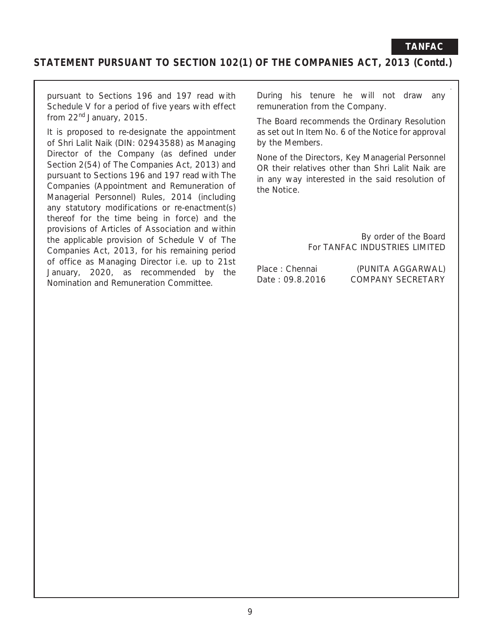## **STATEMENT PURSUANT TO SECTION 102(1) OF THE COMPANIES ACT, 2013 (Contd.)**

pursuant to Sections 196 and 197 read with Schedule V for a period of five years with effect from 22<sup>nd</sup> January, 2015.

It is proposed to re-designate the appointment of Shri Lalit Naik (DIN: 02943588) as Managing Director of the Company (as defined under Section 2(54) of The Companies Act, 2013) and pursuant to Sections 196 and 197 read with The Companies (Appointment and Remuneration of Managerial Personnel) Rules, 2014 (including any statutory modifications or re-enactment(s) thereof for the time being in force) and the provisions of Articles of Association and within the applicable provision of Schedule V of The Companies Act, 2013, for his remaining period of office as Managing Director i.e. up to 21st January, 2020, as recommended by the Nomination and Remuneration Committee.

During his tenure he will not draw any remuneration from the Company.

The Board recommends the Ordinary Resolution as set out In Item No. 6 of the Notice for approval by the Members.

None of the Directors, Key Managerial Personnel OR their relatives other than Shri Lalit Naik are in any way interested in the said resolution of the Notice.

> By order of the Board For TANFAC INDUSTRIES LIMITED

Place : Chennai (PUNITA AGGARWAL) Date: 09.8.2016 COMPANY SECRETARY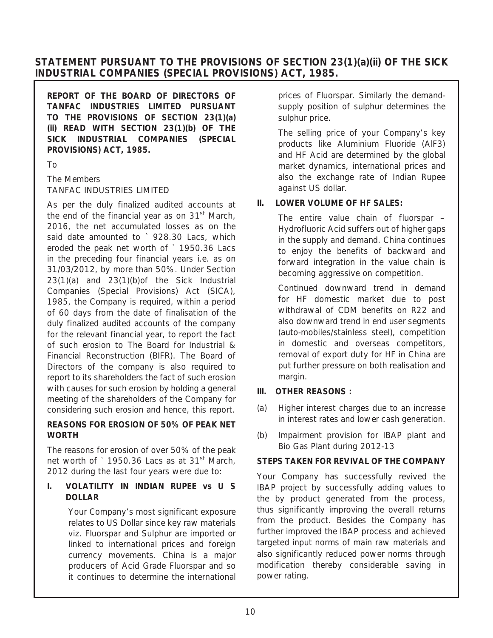## **STATEMENT PURSUANT TO THE PROVISIONS OF SECTION 23(1)(a)(ii) OF THE SICK INDUSTRIAL COMPANIES (SPECIAL PROVISIONS) ACT, 1985.**

**REPORT OF THE BOARD OF DIRECTORS OF TANFAC INDUSTRIES LIMITED PURSUANT TO THE PROVISIONS OF SECTION 23(1)(a) (ii) READ WITH SECTION 23(1)(b) OF THE SICK INDUSTRIAL COMPANIES (SPECIAL PROVISIONS) ACT, 1985.**

To

### The Members TANFAC INDUSTRIES LIMITED

As per the duly finalized audited accounts at the end of the financial year as on 31<sup>st</sup> March, 2016, the net accumulated losses as on the said date amounted to ` 928.30 Lacs, which eroded the peak net worth of ` 1950.36 Lacs in the preceding four financial years i.e. as on 31/03/2012, by more than 50%. Under Section 23(1)(a) and 23(1)(b)of the Sick Industrial Companies (Special Provisions) Act (SICA), 1985, the Company is required, within a period of 60 days from the date of finalisation of the duly finalized audited accounts of the company for the relevant financial year, to report the fact of such erosion to The Board for Industrial & Financial Reconstruction (BIFR). The Board of Directors of the company is also required to report to its shareholders the fact of such erosion with causes for such erosion by holding a general meeting of the shareholders of the Company for considering such erosion and hence, this report.

## **REASONS FOR EROSION OF 50% OF PEAK NET WORTH**

The reasons for erosion of over 50% of the peak net worth of ` 1950.36 Lacs as at 31<sup>st</sup> March, 2012 during the last four years were due to:

## **I. VOLATILITY IN INDIAN RUPEE vs U S DOLLAR**

 Your Company's most significant exposure relates to US Dollar since key raw materials viz. Fluorspar and Sulphur are imported or linked to international prices and foreign currency movements. China is a major producers of Acid Grade Fluorspar and so it continues to determine the international

prices of Fluorspar. Similarly the demandsupply position of sulphur determines the sulphur price.

 The selling price of your Company's key products like Aluminium Fluoride (AlF3) and HF Acid are determined by the global market dynamics, international prices and also the exchange rate of Indian Rupee against US dollar.

## **II. LOWER VOLUME OF HF SALES:**

 The entire value chain of fluorspar – Hydrofluoric Acid suffers out of higher gaps in the supply and demand. China continues to enjoy the benefits of backward and forward integration in the value chain is becoming aggressive on competition.

 Continued downward trend in demand for HF domestic market due to post withdrawal of CDM benefits on R22 and also downward trend in end user segments (auto-mobiles/stainless steel), competition in domestic and overseas competitors, removal of export duty for HF in China are put further pressure on both realisation and margin.

## **III. OTHER REASONS :**

- (a) Higher interest charges due to an increase in interest rates and lower cash generation.
- (b) Impairment provision for IBAP plant and Bio Gas Plant during 2012-13

## **STEPS TAKEN FOR REVIVAL OF THE COMPANY**

Your Company has successfully revived the IBAP project by successfully adding values to the by product generated from the process, thus significantly improving the overall returns from the product. Besides the Company has further improved the IBAP process and achieved targeted input norms of main raw materials and also significantly reduced power norms through modification thereby considerable saving in power rating.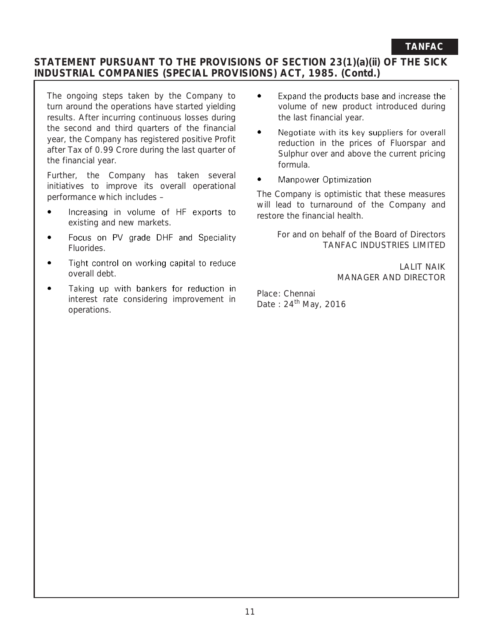## **TANFAC**

## **STATEMENT PURSUANT TO THE PROVISIONS OF SECTION 23(1)(a)(ii) OF THE SICK INDUSTRIAL COMPANIES (SPECIAL PROVISIONS) ACT, 1985. (Contd.)**

The ongoing steps taken by the Company to turn around the operations have started yielding results. After incurring continuous losses during the second and third quarters of the financial year, the Company has registered positive Profit after Tax of 0.99 Crore during the last quarter of the financial year.

Further, the Company has taken several initiatives to improve its overall operational performance which includes –

- $\bullet$ Increasing in volume of HF exports to existing and new markets.
- Focus on PV grade DHF and Speciality  $\bullet$ Fluorides.
- Tight control on working capital to reduce overall debt.
- Taking up with bankers for reduction in interest rate considering improvement in operations.
- $\bullet$ Expand the products base and increase the volume of new product introduced during the last financial year.
- $\bullet$ Negotiate with its key suppliers for overall reduction in the prices of Fluorspar and Sulphur over and above the current pricing formula.
- Manpower Optimization

The Company is optimistic that these measures will lead to turnaround of the Company and restore the financial health.

 For and on behalf of the Board of Directors TANFAC INDUSTRIES LIMITED

> LALIT NAIK MANAGER AND DIRECTOR

Place: Chennai Date:  $24<sup>th</sup>$  May, 2016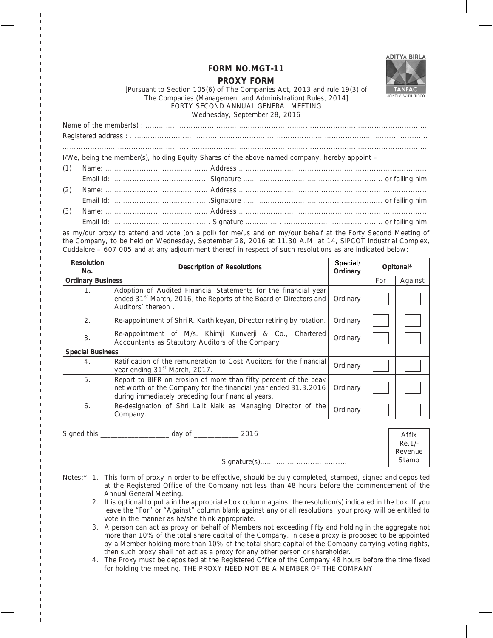

#### **FORM NO.MGT-11**

#### **PROXY FORM**

[Pursuant to Section 105(6) of The Companies Act, 2013 and rule 19(3) of The Companies (Management and Administration) Rules, 2014] FORTY SECOND ANNUAL GENERAL MEETING Wednesday, September 28, 2016

Name of the member(s) : ………………………..........……………………………………………………………….............. Registered address : ……………………………..........…………………………………………………………..................... ………………………………………………..........……………………………………………………………………….............. I/We, being the member(s), holding Equity Shares of the above named company, hereby appoint – (1) Name: ………………….........…………… Address …………………………………...………………………............. Email Id: ………………….........………... Signature …………………………………..…………........ or failing him (2) Name: ………………….........…………… Address ……………………………...…………………...........………….. Email Id: ……………….........……..……..Signature …………………………………..……….......…. or failing him (3) Name: ………………….........…………… Address ………………………………………………...........………...….. Email Id: ……………….........……..…….. Signature …………………………………….………........ or failing him

as my/our proxy to attend and vote (on a poll) for me/us and on my/our behalf at the Forty Second Meeting of the Company, to be held on Wednesday, September 28, 2016 at 11.30 A.M. at 14, SIPCOT Industrial Complex, Cuddalore – 607 005 and at any adjournment thereof in respect of such resolutions as are indicated below:

| <b>Resolution</b><br>No. | <b>Description of Resolutions</b>                                                                                                                                                         |          | Opitonal* |         |
|--------------------------|-------------------------------------------------------------------------------------------------------------------------------------------------------------------------------------------|----------|-----------|---------|
| <b>Ordinary Business</b> |                                                                                                                                                                                           |          | For       | Against |
| $1_{\cdot}$              | Adoption of Audited Financial Statements for the financial year<br>ended 31 <sup>st</sup> March, 2016, the Reports of the Board of Directors and<br>Auditors' thereon.                    | Ordinary |           |         |
| 2.                       | Re-appointment of Shri R. Karthikeyan, Director retiring by rotation.                                                                                                                     | Ordinary |           |         |
| 3.                       | Re-appointment of M/s. Khimji Kunverji & Co., Chartered<br>Accountants as Statutory Auditors of the Company                                                                               | Ordinary |           |         |
| <b>Special Business</b>  |                                                                                                                                                                                           |          |           |         |
| $\overline{4}$ .         | Ratification of the remuneration to Cost Auditors for the financial<br>year ending 31 <sup>st</sup> March, 2017.                                                                          | Ordinary |           |         |
| 5.                       | Report to BIFR on erosion of more than fifty percent of the peak<br>net worth of the Company for the financial year ended 31.3.2016<br>during immediately preceding four financial years. | Ordinary |           |         |
| 6.                       | Re-designation of Shri Lalit Naik as Managing Director of the<br>Company.                                                                                                                 | Ordinary |           |         |

Signed this \_\_\_\_\_\_\_\_\_\_\_\_\_\_\_\_\_\_\_\_\_\_\_\_\_\_ day of \_\_\_\_\_\_\_\_\_\_\_\_\_\_ 2016

Affix Re.1/- Revenue Stamp

- Notes:\* 1. This form of proxy in order to be effective, should be duly completed, stamped, signed and deposited at the Registered Office of the Company not less than 48 hours before the commencement of the Annual General Meeting.
	- 2. It is optional to put a in the appropriate box column against the resolution(s) indicated in the box. If you leave the "For" or "Against" column blank against any or all resolutions, your proxy will be entitled to vote in the manner as he/she think appropriate.

Signature(s)…….……………..………......

- 3. A person can act as proxy on behalf of Members not exceeding fifty and holding in the aggregate not more than 10% of the total share capital of the Company. In case a proxy is proposed to be appointed by a Member holding more than 10% of the total share capital of the Company carrying voting rights, then such proxy shall not act as a proxy for any other person or shareholder.
- 4. The Proxy must be deposited at the Registered Office of the Company 48 hours before the time fixed for holding the meeting. THE PROXY NEED NOT BE A MEMBER OF THE COMPANY.